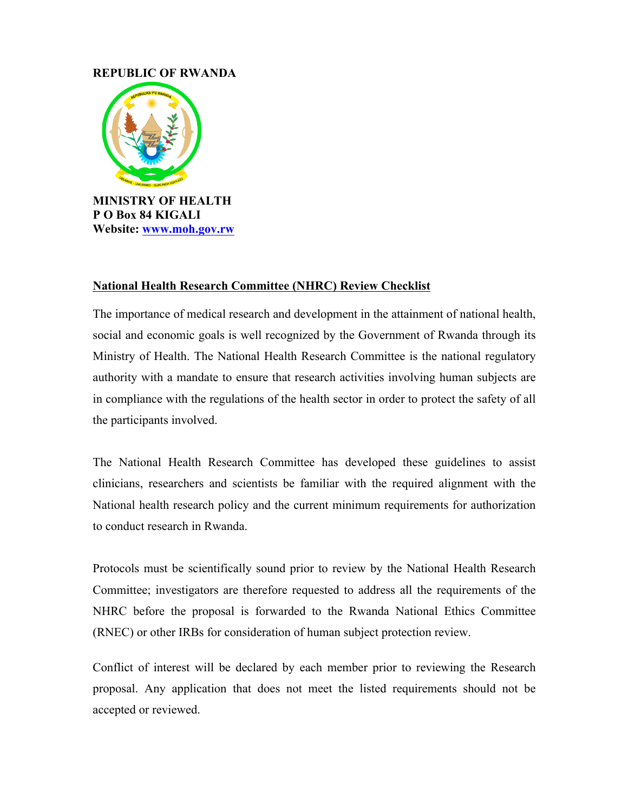## **REPUBLIC OF RWANDA**



## **National Health Research Committee (NHRC) Review Checklist**

The importance of medical research and development in the attainment of national health, social and economic goals is well recognized by the Government of Rwanda through its Ministry of Health. The National Health Research Committee is the national regulatory authority with a mandate to ensure that research activities involving human subjects are in compliance with the regulations of the health sector in order to protect the safety of all the participants involved.

The National Health Research Committee has developed these guidelines to assist clinicians, researchers and scientists be familiar with the required alignment with the National health research policy and the current minimum requirements for authorization to conduct research in Rwanda.

Protocols must be scientifically sound prior to review by the National Health Research Committee; investigators are therefore requested to address all the requirements of the NHRC before the proposal is forwarded to the Rwanda National Ethics Committee (RNEC) or other IRBs for consideration of human subject protection review.

Conflict of interest will be declared by each member prior to reviewing the Research proposal. Any application that does not meet the listed requirements should not be accepted or reviewed.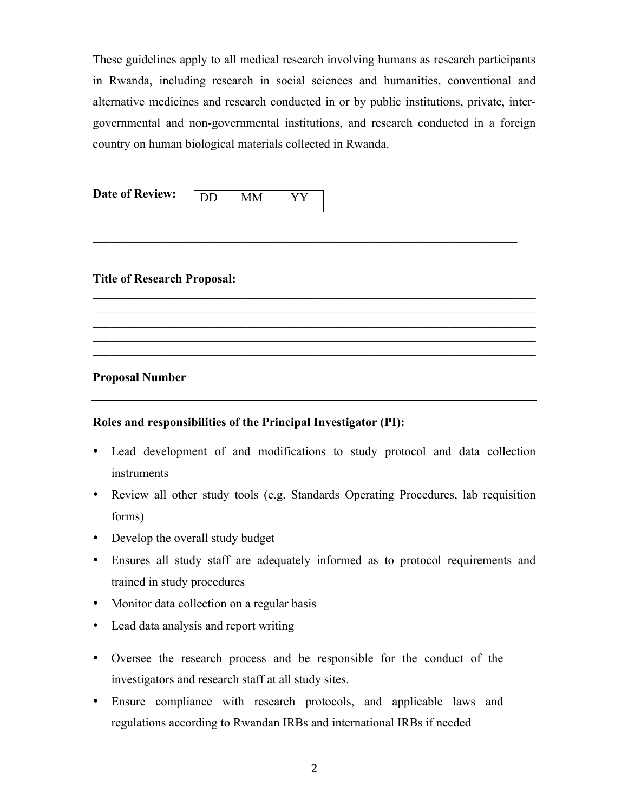These guidelines apply to all medical research involving humans as research participants in Rwanda, including research in social sciences and humanities, conventional and alternative medicines and research conducted in or by public institutions, private, intergovernmental and non-governmental institutions, and research conducted in a foreign country on human biological materials collected in Rwanda.

 $\mathcal{L}_\mathcal{L} = \mathcal{L}_\mathcal{L} = \mathcal{L}_\mathcal{L} = \mathcal{L}_\mathcal{L} = \mathcal{L}_\mathcal{L} = \mathcal{L}_\mathcal{L} = \mathcal{L}_\mathcal{L} = \mathcal{L}_\mathcal{L} = \mathcal{L}_\mathcal{L} = \mathcal{L}_\mathcal{L} = \mathcal{L}_\mathcal{L} = \mathcal{L}_\mathcal{L} = \mathcal{L}_\mathcal{L} = \mathcal{L}_\mathcal{L} = \mathcal{L}_\mathcal{L} = \mathcal{L}_\mathcal{L} = \mathcal{L}_\mathcal{L}$ 

 $\mathcal{L}_\text{max} = \mathcal{L}_\text{max} = \mathcal{L}_\text{max} = \mathcal{L}_\text{max} = \mathcal{L}_\text{max} = \mathcal{L}_\text{max} = \mathcal{L}_\text{max} = \mathcal{L}_\text{max} = \mathcal{L}_\text{max} = \mathcal{L}_\text{max} = \mathcal{L}_\text{max} = \mathcal{L}_\text{max} = \mathcal{L}_\text{max} = \mathcal{L}_\text{max} = \mathcal{L}_\text{max} = \mathcal{L}_\text{max} = \mathcal{L}_\text{max} = \mathcal{L}_\text{max} = \mathcal{$  $\mathcal{L}_\text{max} = \mathcal{L}_\text{max} = \mathcal{L}_\text{max} = \mathcal{L}_\text{max} = \mathcal{L}_\text{max} = \mathcal{L}_\text{max} = \mathcal{L}_\text{max} = \mathcal{L}_\text{max} = \mathcal{L}_\text{max} = \mathcal{L}_\text{max} = \mathcal{L}_\text{max} = \mathcal{L}_\text{max} = \mathcal{L}_\text{max} = \mathcal{L}_\text{max} = \mathcal{L}_\text{max} = \mathcal{L}_\text{max} = \mathcal{L}_\text{max} = \mathcal{L}_\text{max} = \mathcal{$  $\mathcal{L}_\mathcal{L} = \{ \mathcal{L}_\mathcal{L} = \{ \mathcal{L}_\mathcal{L} = \{ \mathcal{L}_\mathcal{L} = \{ \mathcal{L}_\mathcal{L} = \{ \mathcal{L}_\mathcal{L} = \{ \mathcal{L}_\mathcal{L} = \{ \mathcal{L}_\mathcal{L} = \{ \mathcal{L}_\mathcal{L} = \{ \mathcal{L}_\mathcal{L} = \{ \mathcal{L}_\mathcal{L} = \{ \mathcal{L}_\mathcal{L} = \{ \mathcal{L}_\mathcal{L} = \{ \mathcal{L}_\mathcal{L} = \{ \mathcal{L}_\mathcal{$  $\mathcal{L}_\mathcal{L} = \{ \mathcal{L}_\mathcal{L} = \{ \mathcal{L}_\mathcal{L} = \{ \mathcal{L}_\mathcal{L} = \{ \mathcal{L}_\mathcal{L} = \{ \mathcal{L}_\mathcal{L} = \{ \mathcal{L}_\mathcal{L} = \{ \mathcal{L}_\mathcal{L} = \{ \mathcal{L}_\mathcal{L} = \{ \mathcal{L}_\mathcal{L} = \{ \mathcal{L}_\mathcal{L} = \{ \mathcal{L}_\mathcal{L} = \{ \mathcal{L}_\mathcal{L} = \{ \mathcal{L}_\mathcal{L} = \{ \mathcal{L}_\mathcal{$  $\mathcal{L}_\text{max} = \mathcal{L}_\text{max} = \mathcal{L}_\text{max} = \mathcal{L}_\text{max} = \mathcal{L}_\text{max} = \mathcal{L}_\text{max} = \mathcal{L}_\text{max} = \mathcal{L}_\text{max} = \mathcal{L}_\text{max} = \mathcal{L}_\text{max} = \mathcal{L}_\text{max} = \mathcal{L}_\text{max} = \mathcal{L}_\text{max} = \mathcal{L}_\text{max} = \mathcal{L}_\text{max} = \mathcal{L}_\text{max} = \mathcal{L}_\text{max} = \mathcal{L}_\text{max} = \mathcal{$ 

## **Title of Research Proposal:**

**Proposal Number** 

## **Roles and responsibilities of the Principal Investigator (PI):**

- Lead development of and modifications to study protocol and data collection instruments
- Review all other study tools (e.g. Standards Operating Procedures, lab requisition forms)
- Develop the overall study budget
- Ensures all study staff are adequately informed as to protocol requirements and trained in study procedures
- Monitor data collection on a regular basis
- Lead data analysis and report writing
- Oversee the research process and be responsible for the conduct of the investigators and research staff at all study sites.
- Ensure compliance with research protocols, and applicable laws and regulations according to Rwandan IRBs and international IRBs if needed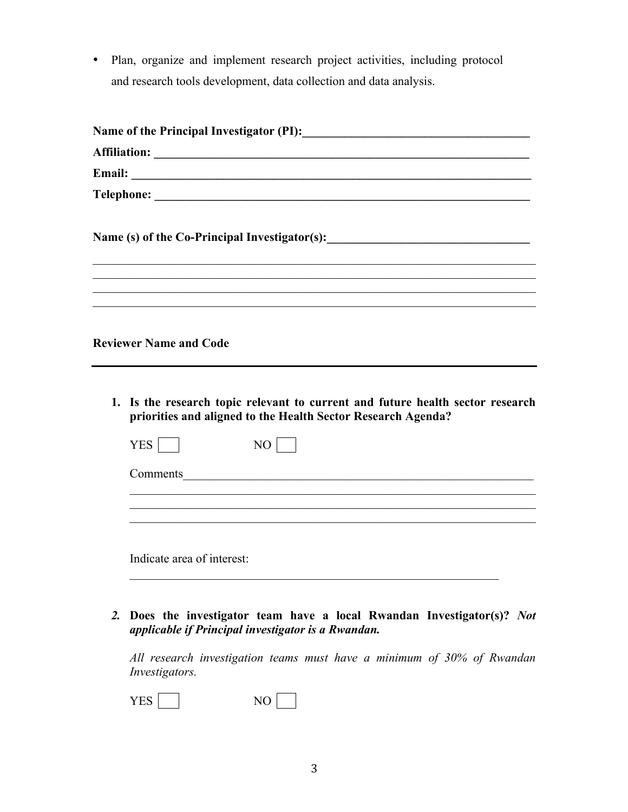• Plan, organize and implement research project activities, including protocol and research tools development, data collection and data analysis.

| Name (s) of the Co-Principal Investigator(s): ___________________________________                                                              |
|------------------------------------------------------------------------------------------------------------------------------------------------|
| <b>Reviewer Name and Code</b>                                                                                                                  |
| 1. Is the research topic relevant to current and future health sector research<br>priorities and aligned to the Health Sector Research Agenda? |
| <b>YES</b><br>NO                                                                                                                               |

Comments\_\_\_\_\_\_\_\_\_\_\_\_\_\_\_\_\_\_\_\_\_\_\_\_\_\_\_\_\_\_\_\_\_\_\_\_\_\_\_\_\_\_\_\_\_\_\_\_\_\_\_\_\_\_\_\_\_

\_\_\_\_\_\_\_\_\_\_\_\_\_\_\_\_\_\_\_\_\_\_\_\_\_\_\_\_\_\_\_\_\_\_\_\_\_\_\_\_\_\_\_\_\_\_\_\_\_\_\_\_\_\_\_\_\_\_\_\_\_\_\_\_\_\_

 $\mathcal{L}_\mathcal{L} = \{ \mathcal{L}_\mathcal{L} = \{ \mathcal{L}_\mathcal{L} = \{ \mathcal{L}_\mathcal{L} = \{ \mathcal{L}_\mathcal{L} = \{ \mathcal{L}_\mathcal{L} = \{ \mathcal{L}_\mathcal{L} = \{ \mathcal{L}_\mathcal{L} = \{ \mathcal{L}_\mathcal{L} = \{ \mathcal{L}_\mathcal{L} = \{ \mathcal{L}_\mathcal{L} = \{ \mathcal{L}_\mathcal{L} = \{ \mathcal{L}_\mathcal{L} = \{ \mathcal{L}_\mathcal{L} = \{ \mathcal{L}_\mathcal{$  $\mathcal{L}_\mathcal{L} = \{ \mathcal{L}_\mathcal{L} = \{ \mathcal{L}_\mathcal{L} = \{ \mathcal{L}_\mathcal{L} = \{ \mathcal{L}_\mathcal{L} = \{ \mathcal{L}_\mathcal{L} = \{ \mathcal{L}_\mathcal{L} = \{ \mathcal{L}_\mathcal{L} = \{ \mathcal{L}_\mathcal{L} = \{ \mathcal{L}_\mathcal{L} = \{ \mathcal{L}_\mathcal{L} = \{ \mathcal{L}_\mathcal{L} = \{ \mathcal{L}_\mathcal{L} = \{ \mathcal{L}_\mathcal{L} = \{ \mathcal{L}_\mathcal{$ 

Indicate area of interest:

*2.* **Does the investigator team have a local Rwandan Investigator(s)?** *Not applicable if Principal investigator is a Rwandan.*

 $\mathcal{L}_\text{max}$  , and the contribution of the contribution of the contribution of the contribution of the contribution of the contribution of the contribution of the contribution of the contribution of the contribution of t

*All research investigation teams must have a minimum of 30% of Rwandan Investigators.*

YES NO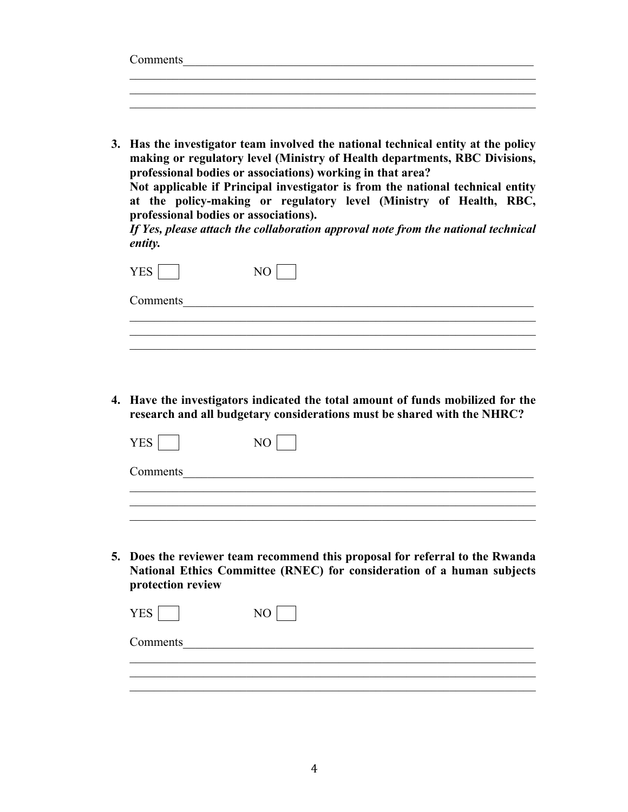| Comments |  |  |  |  |
|----------|--|--|--|--|
|          |  |  |  |  |
|          |  |  |  |  |
|          |  |  |  |  |

**3. Has the investigator team involved the national technical entity at the policy making or regulatory level (Ministry of Health departments, RBC Divisions, professional bodies or associations) working in that area?** 

**Not applicable if Principal investigator is from the national technical entity at the policy-making or regulatory level (Ministry of Health, RBC, professional bodies or associations).**

*If Yes, please attach the collaboration approval note from the national technical entity.*

| <b>YES</b> |  |
|------------|--|
| Comments   |  |
|            |  |

**4. Have the investigators indicated the total amount of funds mobilized for the research and all budgetary considerations must be shared with the NHRC?**

| Comments |  |
|----------|--|
|          |  |

 $\mathcal{L}_\text{max} = \mathcal{L}_\text{max} = \mathcal{L}_\text{max} = \mathcal{L}_\text{max} = \mathcal{L}_\text{max} = \mathcal{L}_\text{max} = \mathcal{L}_\text{max} = \mathcal{L}_\text{max} = \mathcal{L}_\text{max} = \mathcal{L}_\text{max} = \mathcal{L}_\text{max} = \mathcal{L}_\text{max} = \mathcal{L}_\text{max} = \mathcal{L}_\text{max} = \mathcal{L}_\text{max} = \mathcal{L}_\text{max} = \mathcal{L}_\text{max} = \mathcal{L}_\text{max} = \mathcal{$ 

**5. Does the reviewer team recommend this proposal for referral to the Rwanda National Ethics Committee (RNEC) for consideration of a human subjects protection review**

| <b>YES</b> |  |
|------------|--|
| Comments   |  |
|            |  |